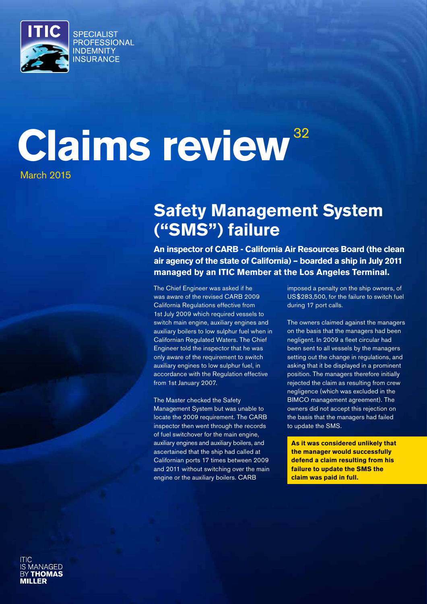

# **Claims review**<sup>32</sup>

March 2015

## **Safety Management System ("SMS") failure**

**An inspector of CARB - California Air Resources Board (the clean air agency of the state of California) – boarded a ship in July 2011 managed by an ITIC Member at the Los Angeles Terminal.** 

The Chief Engineer was asked if he was aware of the revised CARB 2009 California Regulations effective from 1st July 2009 which required vessels to switch main engine, auxiliary engines and auxiliary boilers to low sulphur fuel when in Californian Regulated Waters. The Chief Engineer told the inspector that he was only aware of the requirement to switch auxiliary engines to low sulphur fuel, in accordance with the Regulation effective from 1st January 2007.

The Master checked the Safety Management System but was unable to locate the 2009 requirement. The CARB inspector then went through the records of fuel switchover for the main engine, auxiliary engines and auxiliary boilers, and ascertained that the ship had called at Californian ports 17 times between 2009 and 2011 without switching over the main engine or the auxiliary boilers. CARB

imposed a penalty on the ship owners, of US\$283,500, for the failure to switch fuel during 17 port calls.

The owners claimed against the managers on the basis that the managers had been negligent. In 2009 a fleet circular had been sent to all vessels by the managers setting out the change in regulations, and asking that it be displayed in a prominent position. The managers therefore initially rejected the claim as resulting from crew negligence (which was excluded in the BIMCO management agreement). The owners did not accept this rejection on the basis that the managers had failed to update the SMS.

**As it was considered unlikely that the manager would successfully defend a claim resulting from his failure to update the SMS the claim was paid in full.**

**ANAGFD** HOMAS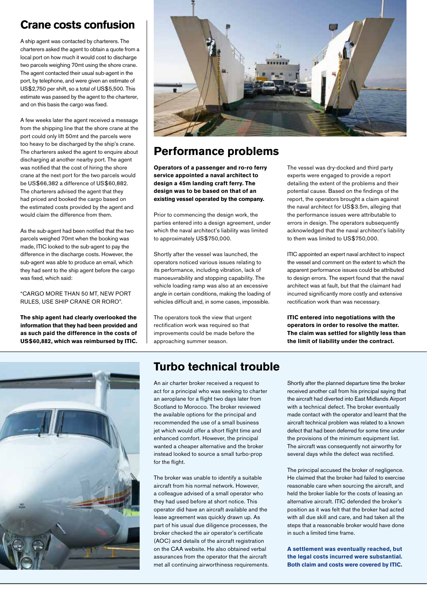#### **Crane costs confusion**

A ship agent was contacted by charterers. The charterers asked the agent to obtain a quote from a local port on how much it would cost to discharge two parcels weighing 70mt using the shore crane. The agent contacted their usual sub-agent in the port, by telephone, and were given an estimate of US\$2,750 per shift, so a total of US\$5,500. This estimate was passed by the agent to the charterer, and on this basis the cargo was fixed.

A few weeks later the agent received a message from the shipping line that the shore crane at the port could only lift 50mt and the parcels were too heavy to be discharged by the ship's crane. The charterers asked the agent to enquire about discharging at another nearby port. The agent was notified that the cost of hiring the shore crane at the next port for the two parcels would be US\$66,382 a difference of US\$60,882. The charterers advised the agent that they had priced and booked the cargo based on the estimated costs provided by the agent and would claim the difference from them.

As the sub-agent had been notified that the two parcels weighed 70mt when the booking was made, ITIC looked to the sub-agent to pay the difference in the discharge costs. However, the sub-agent was able to produce an email, which they had sent to the ship agent before the cargo was fixed, which said:

"CARGO MORE THAN 50 MT, NEW PORT RULES, USE SHIP CRANE OR RORO".

**The ship agent had clearly overlooked the information that they had been provided and as such paid the difference in the costs of US\$60,882, which was reimbursed by ITIC.**



#### **Performance problems**

**Operators of a passenger and ro-ro ferry service appointed a naval architect to design a 45m landing craft ferry. The design was to be based on that of an existing vessel operated by the company.** 

Prior to commencing the design work, the parties entered into a design agreement, under which the naval architect's liability was limited to approximately US\$750,000.

Shortly after the vessel was launched, the operators noticed various issues relating to its performance, including vibration, lack of manoeuvrability and stopping capability. The vehicle loading ramp was also at an excessive angle in certain conditions, making the loading of vehicles difficult and, in some cases, impossible.

The operators took the view that urgent rectification work was required so that improvements could be made before the approaching summer season.

The vessel was dry-docked and third party experts were engaged to provide a report detailing the extent of the problems and their potential cause. Based on the findings of the report, the operators brought a claim against the naval architect for US\$3.5m, alleging that the performance issues were attributable to errors in design. The operators subsequently acknowledged that the naval architect's liability to them was limited to US\$750,000.

ITIC appointed an expert naval architect to inspect the vessel and comment on the extent to which the apparent performance issues could be attributed to design errors. The expert found that the naval architect was at fault, but that the claimant had incurred significantly more costly and extensive rectification work than was necessary.

**ITIC entered into negotiations with the operators in order to resolve the matter. The claim was settled for slightly less than the limit of liability under the contract.**



### **Turbo technical trouble**

An air charter broker received a request to act for a principal who was seeking to charter an aeroplane for a flight two days later from Scotland to Morocco. The broker reviewed the available options for the principal and recommended the use of a small business jet which would offer a short flight time and enhanced comfort. However, the principal wanted a cheaper alternative and the broker instead looked to source a small turbo-prop for the flight.

The broker was unable to identify a suitable aircraft from his normal network. However, a colleague advised of a small operator who they had used before at short notice. This operator did have an aircraft available and the lease agreement was quickly drawn up. As part of his usual due diligence processes, the broker checked the air operator's certificate (AOC) and details of the aircraft registration on the CAA website. He also obtained verbal assurances from the operator that the aircraft met all continuing airworthiness requirements. Shortly after the planned departure time the broker received another call from his principal saying that the aircraft had diverted into East Midlands Airport with a technical defect. The broker eventually made contact with the operator and learnt that the aircraft technical problem was related to a known defect that had been deferred for some time under the provisions of the minimum equipment list. The aircraft was consequently not airworthy for several days while the defect was rectified.

The principal accused the broker of negligence. He claimed that the broker had failed to exercise reasonable care when sourcing the aircraft, and held the broker liable for the costs of leasing an alternative aircraft. ITIC defended the broker's position as it was felt that the broker had acted with all due skill and care, and had taken all the steps that a reasonable broker would have done in such a limited time frame.

**A settlement was eventually reached, but the legal costs incurred were substantial. Both claim and costs were covered by ITIC.**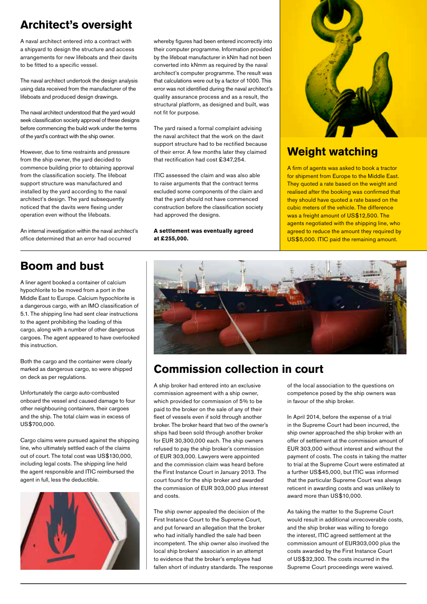## **Architect's oversight**

A naval architect entered into a contract with a shipyard to design the structure and access arrangements for new lifeboats and their davits to be fitted to a specific vessel.

The naval architect undertook the design analysis using data received from the manufacturer of the lifeboats and produced design drawings.

The naval architect understood that the yard would seek classification society approval of these designs before commencing the build work under the terms of the yard's contract with the ship owner.

However, due to time restraints and pressure from the ship owner, the yard decided to commence building prior to obtaining approval from the classification society. The lifeboat support structure was manufactured and installed by the yard according to the naval architect's design. The yard subsequently noticed that the davits were flexing under operation even without the lifeboats.

An internal investigation within the naval architect's office determined that an error had occurred

whereby figures had been entered incorrectly into their computer programme. Information provided by the lifeboat manufacturer in kNm had not been converted into kNmm as required by the naval architect's computer programme. The result was that calculations were out by a factor of 1000. This error was not identified during the naval architect's quality assurance process and as a result, the structural platform, as designed and built, was not fit for purpose.

The yard raised a formal complaint advising the naval architect that the work on the davit support structure had to be rectified because of their error. A few months later they claimed that rectification had cost £347,254.

ITIC assessed the claim and was also able to raise arguments that the contract terms excluded some components of the claim and that the yard should not have commenced construction before the classification society had approved the designs.

#### **A settlement was eventually agreed at £255,000.**



#### **Weight watching**

A firm of agents was asked to book a tractor for shipment from Europe to the Middle East. They quoted a rate based on the weight and realised after the booking was confirmed that they should have quoted a rate based on the cubic meters of the vehicle. The difference was a freight amount of US\$12,500. The agents negotiated with the shipping line, who agreed to reduce the amount they required by US\$5,000. ITIC paid the remaining amount.

#### **Boom and bust**

A liner agent booked a container of calcium hypochlorite to be moved from a port in the Middle East to Europe. Calcium hypochlorite is a dangerous cargo, with an IMO classification of 5.1. The shipping line had sent clear instructions to the agent prohibiting the loading of this cargo, along with a number of other dangerous cargoes. The agent appeared to have overlooked this instruction.

Both the cargo and the container were clearly marked as dangerous cargo, so were shipped on deck as per regulations.

Unfortunately the cargo auto-combusted onboard the vessel and caused damage to four other neighbouring containers, their cargoes and the ship. The total claim was in excess of US\$700,000.

Cargo claims were pursued against the shipping line, who ultimately settled each of the claims out of court. The total cost was US\$130,000, including legal costs. The shipping line held the agent responsible and ITIC reimbursed the agent in full, less the deductible.





### **Commission collection in court**

A ship broker had entered into an exclusive commission agreement with a ship owner, which provided for commission of 5% to be paid to the broker on the sale of any of their fleet of vessels even if sold through another broker. The broker heard that two of the owner's ships had been sold through another broker for EUR 30,300,000 each. The ship owners refused to pay the ship broker's commission of EUR 303,000. Lawyers were appointed and the commission claim was heard before the First Instance Court in January 2013. The court found for the ship broker and awarded the commission of EUR 303,000 plus interest and costs.

The ship owner appealed the decision of the First Instance Court to the Supreme Court, and put forward an allegation that the broker who had initially handled the sale had been incompetent. The ship owner also involved the local ship brokers' association in an attempt to evidence that the broker's employee had fallen short of industry standards. The response of the local association to the questions on competence posed by the ship owners was in favour of the ship broker.

In April 2014, before the expense of a trial in the Supreme Court had been incurred, the ship owner approached the ship broker with an offer of settlement at the commission amount of EUR 303,000 without interest and without the payment of costs. The costs in taking the matter to trial at the Supreme Court were estimated at a further US\$45,000, but ITIC was informed that the particular Supreme Court was always reticent in awarding costs and was unlikely to award more than US\$10,000.

As taking the matter to the Supreme Court would result in additional unrecoverable costs, and the ship broker was willing to forego the interest, ITIC agreed settlement at the commission amount of EUR303,000 plus the costs awarded by the First Instance Court of US\$32,300. The costs incurred in the Supreme Court proceedings were waived.